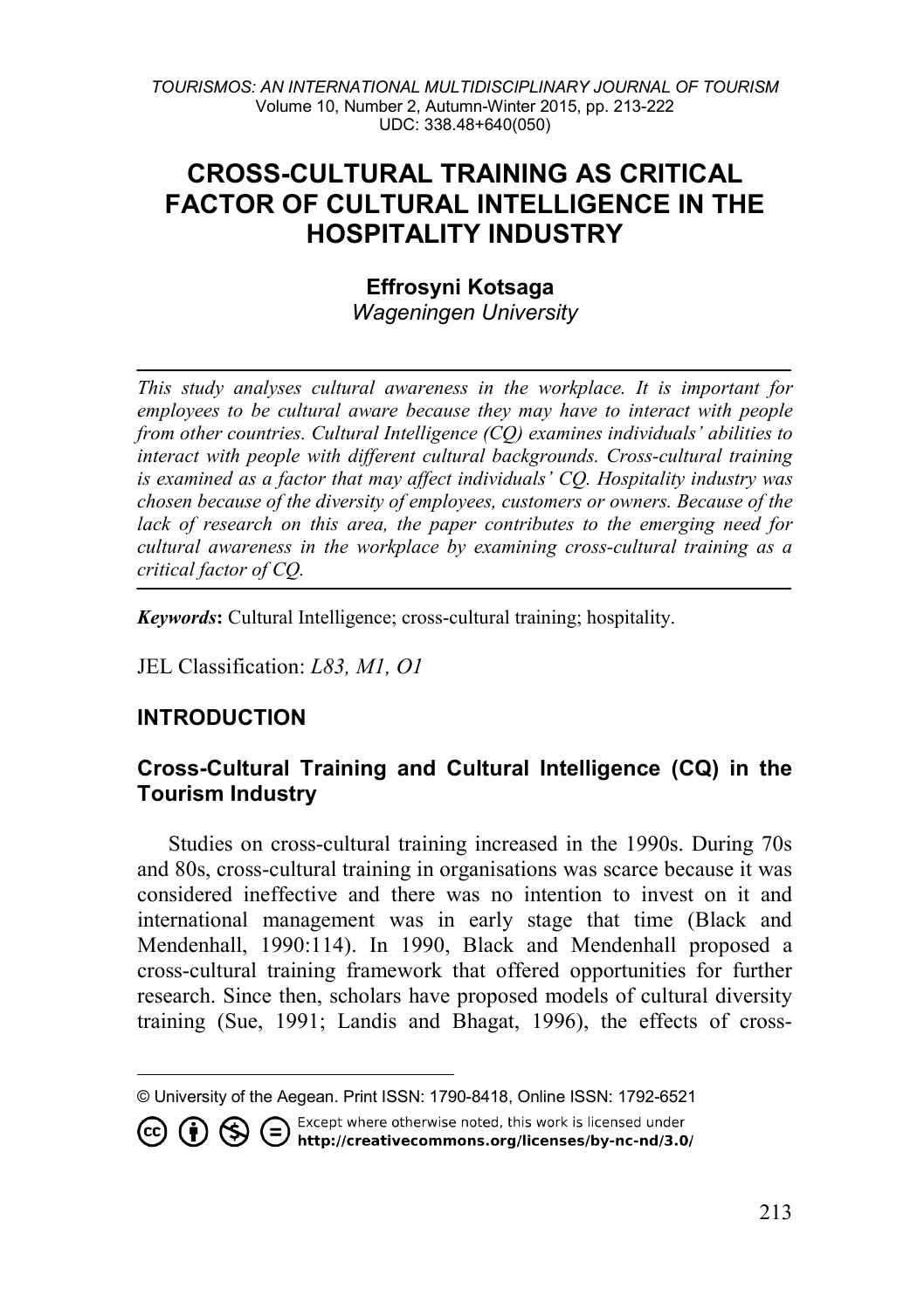*TOURISMOS: AN INTERNATIONAL MULTIDISCIPLINARY JOURNAL OF TOURISM* Volume 10, Number 2, Autumn-Winter 2015, pp. 213-222 UDC: 338.48+640(050)

# **CROSS-CULTURAL TRAINING AS CRITICAL FACTOR OF CULTURAL INTELLIGENCE IN THE HOSPITALITY INDUSTRY**

## **Effrosyni Kotsaga** *Wageningen University*

*This study analyses cultural awareness in the workplace. It is important for employees to be cultural aware because they may have to interact with people from other countries. Cultural Intelligence (CQ) examines individuals' abilities to interact with people with different cultural backgrounds. Cross-cultural training is examined as a factor that may affect individuals' CQ. Hospitality industry was chosen because of the diversity of employees, customers or owners. Because of the lack of research on this area, the paper contributes to the emerging need for cultural awareness in the workplace by examining cross-cultural training as a critical factor of CQ.* 

*Keywords***:** Cultural Intelligence; cross-cultural training; hospitality.

JEL Classification: *L83, M1, O1*

## **INTRODUCTION**

## **Cross-Cultural Training and Cultural Intelligence (CQ) in the Tourism Industry**

Studies on cross-cultural training increased in the 1990s. During 70s and 80s, cross-cultural training in organisations was scarce because it was considered ineffective and there was no intention to invest on it and international management was in early stage that time (Black and Mendenhall, 1990:114). In 1990, Black and Mendenhall proposed a cross-cultural training framework that offered opportunities for further research. Since then, scholars have proposed models of cultural diversity training (Sue, 1991; Landis and Bhagat, 1996), the effects of cross-

Except where otherwise noted, this work is licensed under

<span id="page-0-0"></span>**© ① S** ● Except where otherwise noted, this work is licensed under<br>http://creativecommons.org/licenses/by-nc-nd/3.0/

 $\overline{a}$ © University of the Aegean. Print ISSN: 1790-8418, Online ISSN: 1792-6521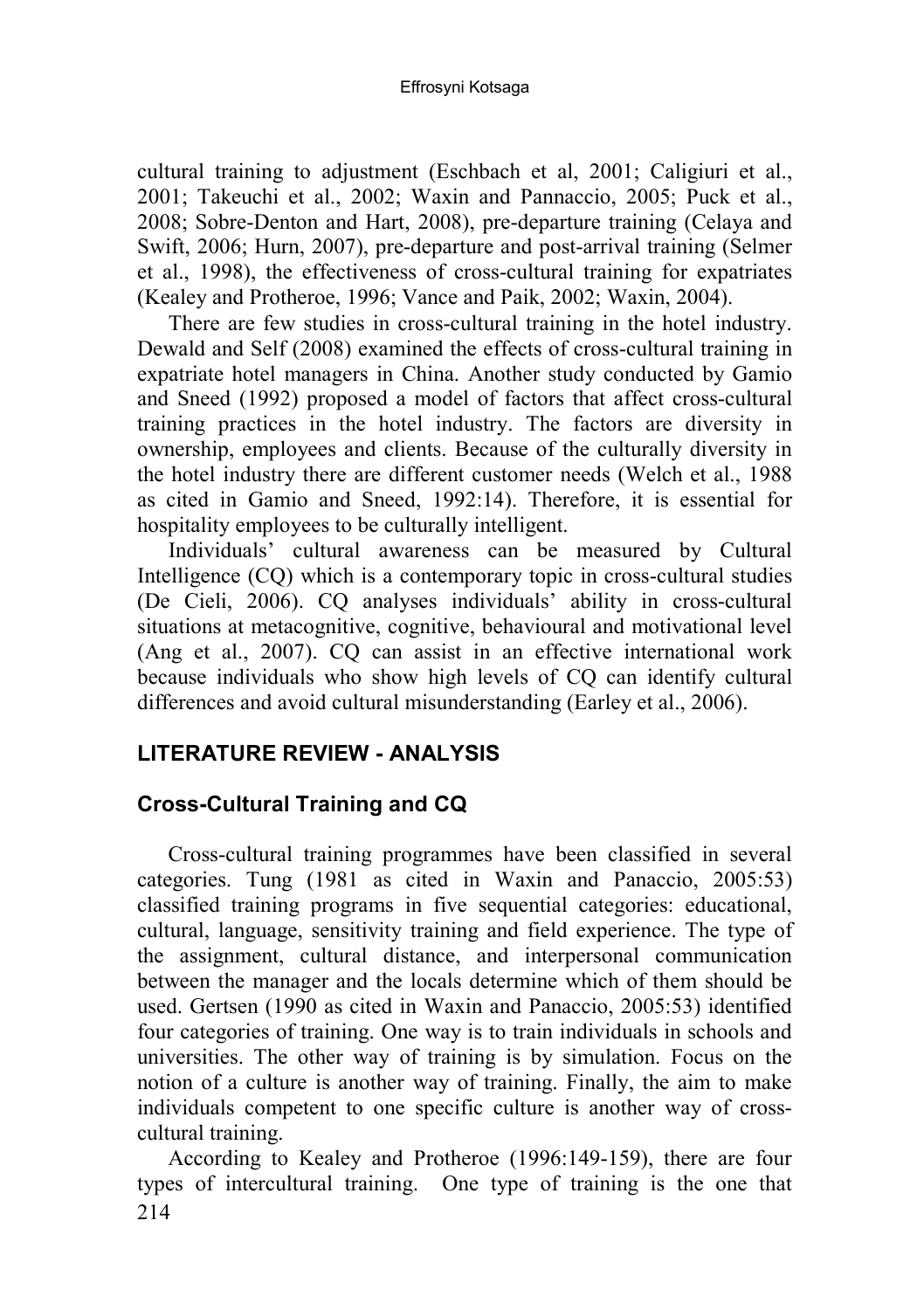cultural training to adjustment (Eschbach et al, 2001; Caligiuri et al., 2001; Takeuchi et al., 2002; Waxin and Pannaccio, 2005; Puck et al., 2008; Sobre-Denton and Hart, 2008), pre-departure training (Celaya and Swift, 2006; Hurn, 2007), pre-departure and post-arrival training (Selmer et al., 1998), the effectiveness of cross-cultural training for expatriates (Kealey and Protheroe, 1996; Vance and Paik, 2002; Waxin, 2004).

There are few studies in cross-cultural training in the hotel industry. Dewald and Self (2008) examined the effects of cross-cultural training in expatriate hotel managers in China. Another study conducted by Gamio and Sneed (1992) proposed a model of factors that affect cross-cultural training practices in the hotel industry. The factors are diversity in ownership, employees and clients. Because of the culturally diversity in the hotel industry there are different customer needs (Welch et al., 1988 as cited in Gamio and Sneed, 1992:14). Therefore, it is essential for hospitality employees to be culturally intelligent.

Individuals' cultural awareness can be measured by Cultural Intelligence (CQ) which is a contemporary topic in cross-cultural studies (De Cieli, 2006). CQ analyses individuals' ability in cross-cultural situations at metacognitive, cognitive, behavioural and motivational level (Ang et al., 2007). CQ can assist in an effective international work because individuals who show high levels of CQ can identify cultural differences and avoid cultural misunderstanding (Earley et al., 2006).

## **LITERATURE REVIEW - ANALYSIS**

## **Cross-Cultural Training and CQ**

Cross-cultural training programmes have been classified in several categories. Tung (1981 as cited in Waxin and Panaccio, 2005:53) classified training programs in five sequential categories: educational, cultural, language, sensitivity training and field experience. The type of the assignment, cultural distance, and interpersonal communication between the manager and the locals determine which of them should be used. Gertsen (1990 as cited in Waxin and Panaccio, 2005:53) identified four categories of training. One way is to train individuals in schools and universities. The other way of training is by simulation. Focus on the notion of a culture is another way of training. Finally, the aim to make individuals competent to one specific culture is another way of crosscultural training.

 $214$ According to Kealey and Protheroe (1996:149-159), there are four types of intercultural training. One type of training is the one that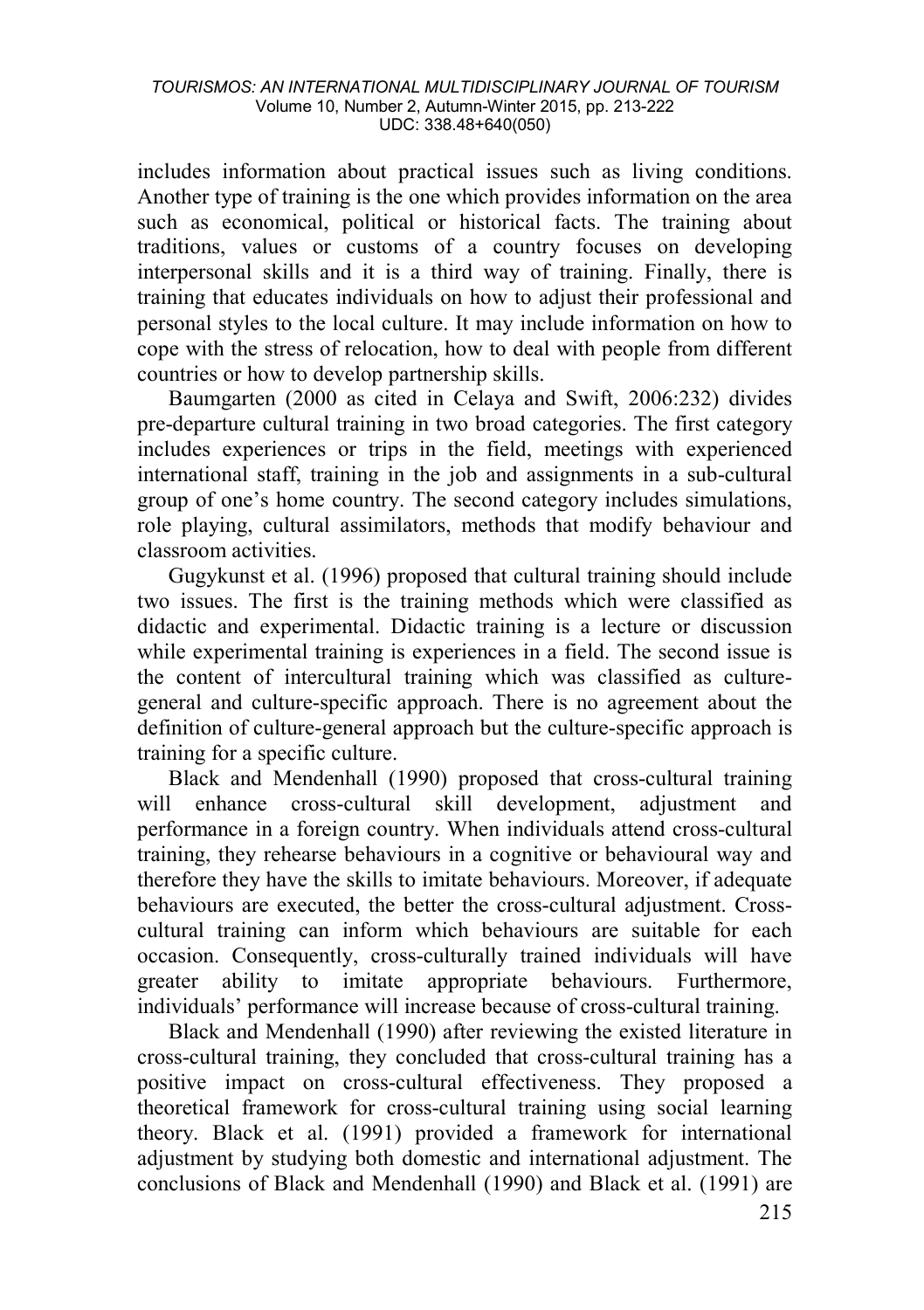includes information about practical issues such as living conditions. Another type of training is the one which provides information on the area such as economical, political or historical facts. The training about traditions, values or customs of a country focuses on developing interpersonal skills and it is a third way of training. Finally, there is training that educates individuals on how to adjust their professional and personal styles to the local culture. It may include information on how to cope with the stress of relocation, how to deal with people from different countries or how to develop partnership skills.

Baumgarten (2000 as cited in Celaya and Swift, 2006:232) divides pre-departure cultural training in two broad categories. The first category includes experiences or trips in the field, meetings with experienced international staff, training in the job and assignments in a sub-cultural group of one's home country. The second category includes simulations, role playing, cultural assimilators, methods that modify behaviour and classroom activities.

Gugykunst et al. (1996) proposed that cultural training should include two issues. The first is the training methods which were classified as didactic and experimental. Didactic training is a lecture or discussion while experimental training is experiences in a field. The second issue is the content of intercultural training which was classified as culturegeneral and culture-specific approach. There is no agreement about the definition of culture-general approach but the culture-specific approach is training for a specific culture.

Black and Mendenhall (1990) proposed that cross-cultural training will enhance cross-cultural skill development, adjustment and performance in a foreign country. When individuals attend cross-cultural training, they rehearse behaviours in a cognitive or behavioural way and therefore they have the skills to imitate behaviours. Moreover, if adequate behaviours are executed, the better the cross-cultural adjustment. Crosscultural training can inform which behaviours are suitable for each occasion. Consequently, cross-culturally trained individuals will have greater ability to imitate appropriate behaviours. Furthermore, individuals' performance will increase because of cross-cultural training.

Black and Mendenhall (1990) after reviewing the existed literature in cross-cultural training, they concluded that cross-cultural training has a positive impact on cross-cultural effectiveness. They proposed a theoretical framework for cross-cultural training using social learning theory. Black et al. (1991) provided a framework for international adjustment by studying both domestic and international adjustment. The conclusions of Black and Mendenhall (1990) and Black et al. (1991) are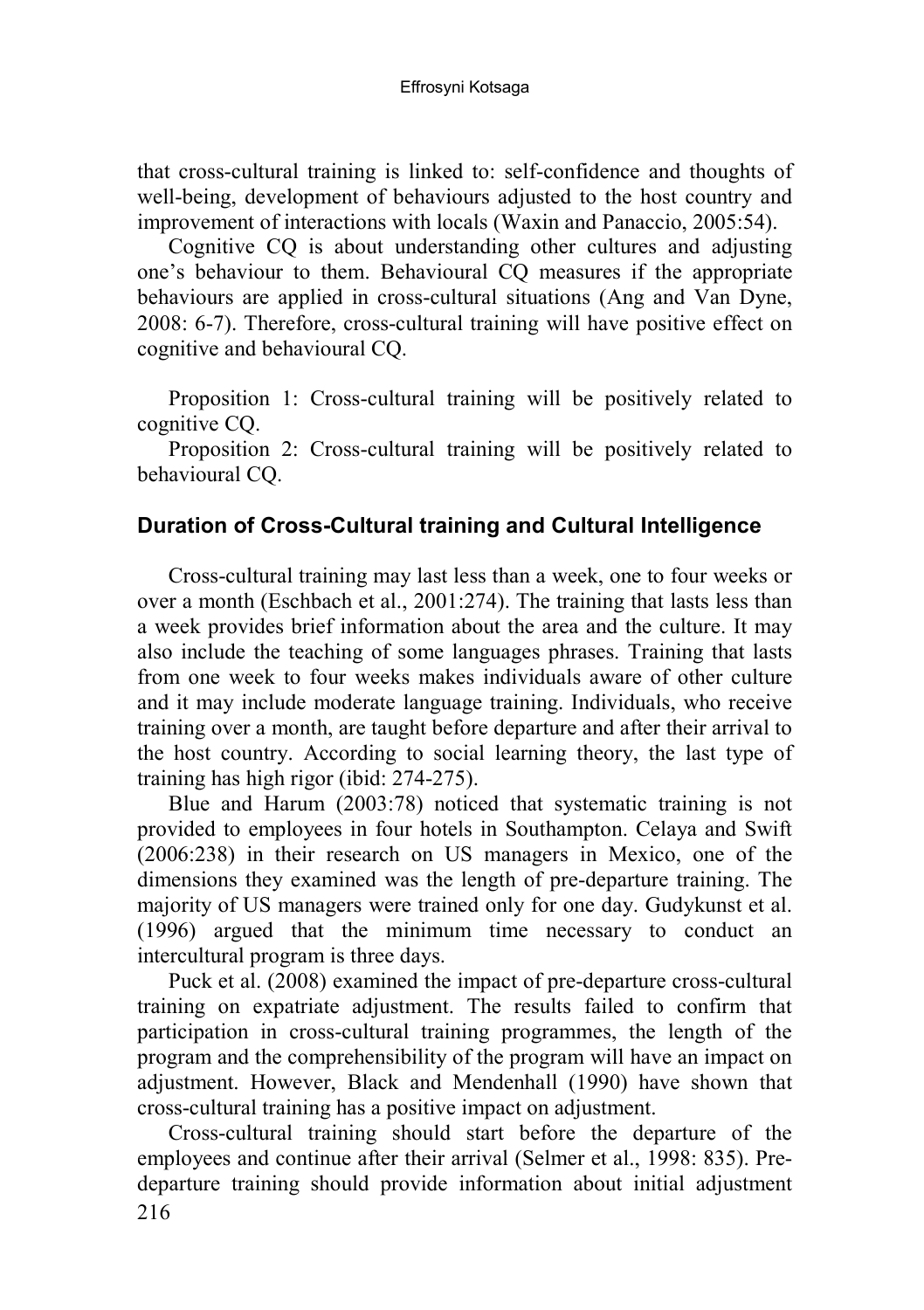that cross-cultural training is linked to: self-confidence and thoughts of well-being, development of behaviours adjusted to the host country and improvement of interactions with locals (Waxin and Panaccio, 2005:54).

Cognitive CQ is about understanding other cultures and adjusting one's behaviour to them. Behavioural CQ measures if the appropriate behaviours are applied in cross-cultural situations (Ang and Van Dyne, 2008: 6-7). Therefore, cross-cultural training will have positive effect on cognitive and behavioural CQ.

Proposition 1: Cross-cultural training will be positively related to cognitive CQ.

Proposition 2: Cross-cultural training will be positively related to behavioural CQ.

#### **Duration of Cross-Cultural training and Cultural Intelligence**

Cross-cultural training may last less than a week, one to four weeks or over a month (Eschbach et al., 2001:274). The training that lasts less than a week provides brief information about the area and the culture. It may also include the teaching of some languages phrases. Training that lasts from one week to four weeks makes individuals aware of other culture and it may include moderate language training. Individuals, who receive training over a month, are taught before departure and after their arrival to the host country. According to social learning theory, the last type of training has high rigor (ibid: 274-275).

Blue and Harum (2003:78) noticed that systematic training is not provided to employees in four hotels in Southampton. Celaya and Swift (2006:238) in their research on US managers in Mexico, one of the dimensions they examined was the length of pre-departure training. The majority of US managers were trained only for one day. Gudykunst et al. (1996) argued that the minimum time necessary to conduct an intercultural program is three days.

Puck et al. (2008) examined the impact of pre-departure cross-cultural training on expatriate adjustment. The results failed to confirm that participation in cross-cultural training programmes, the length of the program and the comprehensibility of the program will have an impact on adjustment. However, Black and Mendenhall (1990) have shown that cross-cultural training has a positive impact on adjustment.

216 Cross-cultural training should start before the departure of the employees and continue after their arrival (Selmer et al., 1998: 835). Predeparture training should provide information about initial adjustment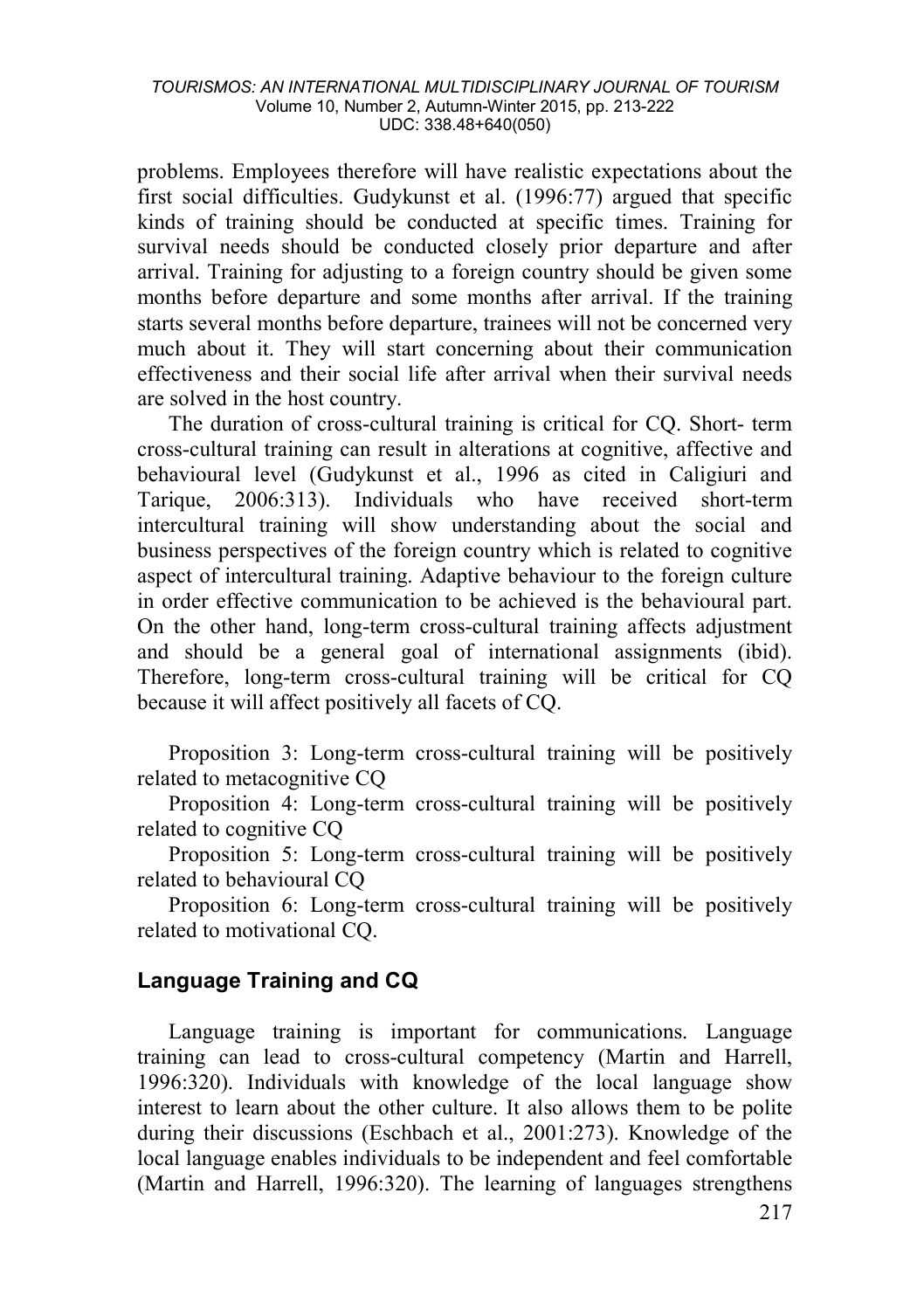problems. Employees therefore will have realistic expectations about the first social difficulties. Gudykunst et al. (1996:77) argued that specific kinds of training should be conducted at specific times. Training for survival needs should be conducted closely prior departure and after arrival. Training for adjusting to a foreign country should be given some months before departure and some months after arrival. If the training starts several months before departure, trainees will not be concerned very much about it. They will start concerning about their communication effectiveness and their social life after arrival when their survival needs are solved in the host country.

The duration of cross-cultural training is critical for CQ. Short- term cross-cultural training can result in alterations at cognitive, affective and behavioural level (Gudykunst et al., 1996 as cited in Caligiuri and Tarique, 2006:313). Individuals who have received short-term intercultural training will show understanding about the social and business perspectives of the foreign country which is related to cognitive aspect of intercultural training. Adaptive behaviour to the foreign culture in order effective communication to be achieved is the behavioural part. On the other hand, long-term cross-cultural training affects adjustment and should be a general goal of international assignments (ibid). Therefore, long-term cross-cultural training will be critical for CQ because it will affect positively all facets of CQ.

Proposition 3: Long-term cross-cultural training will be positively related to metacognitive CQ

Proposition 4: Long-term cross-cultural training will be positively related to cognitive CQ

Proposition 5: Long-term cross-cultural training will be positively related to behavioural CQ

Proposition 6: Long-term cross-cultural training will be positively related to motivational CQ.

## **Language Training and CQ**

Language training is important for communications. Language training can lead to cross-cultural competency (Martin and Harrell, 1996:320). Individuals with knowledge of the local language show interest to learn about the other culture. It also allows them to be polite during their discussions (Eschbach et al., 2001:273). Knowledge of the local language enables individuals to be independent and feel comfortable (Martin and Harrell, 1996:320). The learning of languages strengthens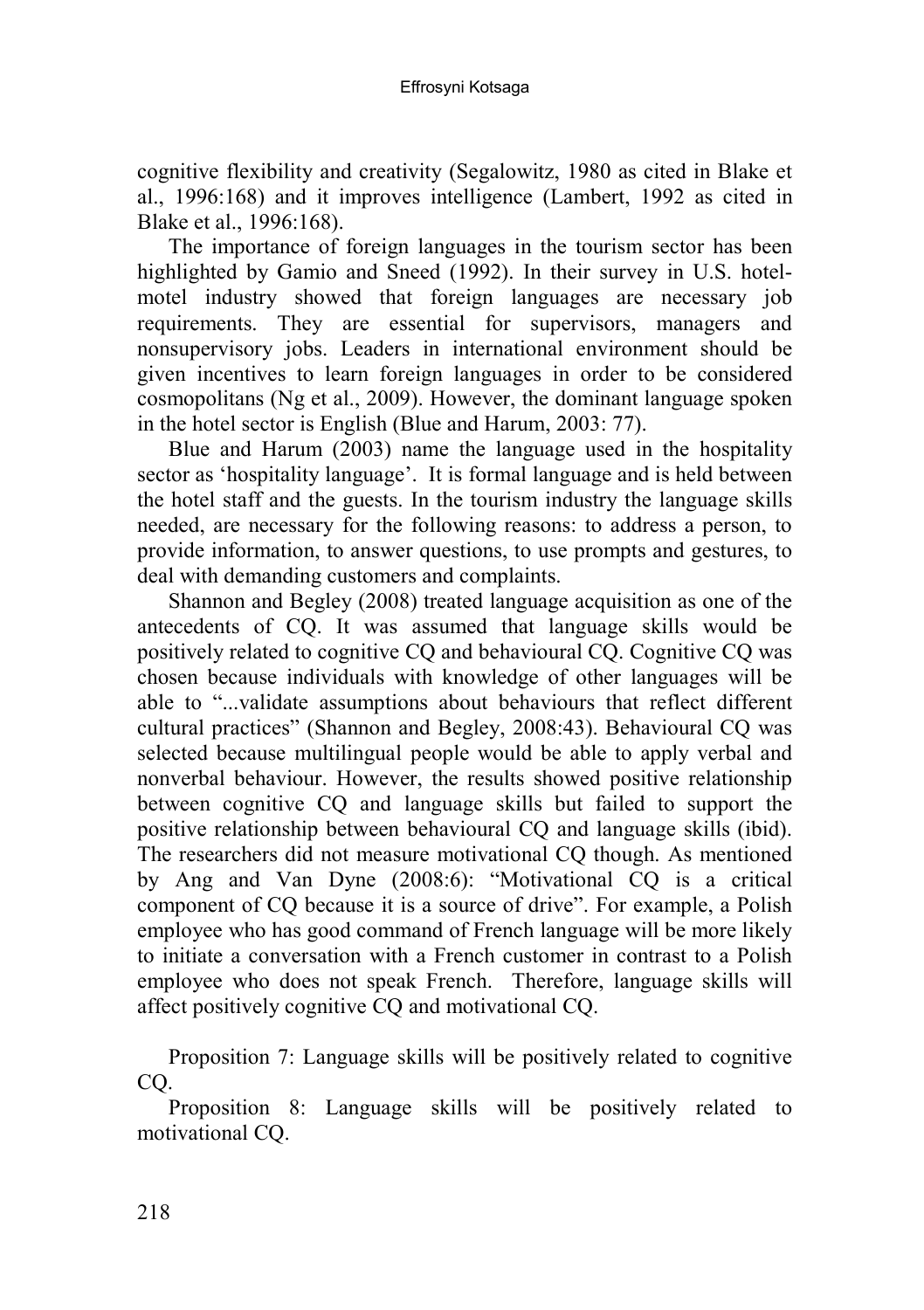cognitive flexibility and creativity (Segalowitz, 1980 as cited in Blake et al., 1996:168) and it improves intelligence (Lambert, 1992 as cited in Blake et al., 1996:168).

The importance of foreign languages in the tourism sector has been highlighted by Gamio and Sneed (1992). In their survey in U.S. hotelmotel industry showed that foreign languages are necessary job requirements. They are essential for supervisors, managers and nonsupervisory jobs. Leaders in international environment should be given incentives to learn foreign languages in order to be considered cosmopolitans (Ng et al., 2009). However, the dominant language spoken in the hotel sector is English (Blue and Harum, 2003: 77).

Blue and Harum (2003) name the language used in the hospitality sector as 'hospitality language'. It is formal language and is held between the hotel staff and the guests. In the tourism industry the language skills needed, are necessary for the following reasons: to address a person, to provide information, to answer questions, to use prompts and gestures, to deal with demanding customers and complaints.

Shannon and Begley (2008) treated language acquisition as one of the antecedents of CQ. It was assumed that language skills would be positively related to cognitive CQ and behavioural CQ. Cognitive CQ was chosen because individuals with knowledge of other languages will be able to "...validate assumptions about behaviours that reflect different cultural practices" (Shannon and Begley, 2008:43). Behavioural CQ was selected because multilingual people would be able to apply verbal and nonverbal behaviour. However, the results showed positive relationship between cognitive CQ and language skills but failed to support the positive relationship between behavioural CQ and language skills (ibid). The researchers did not measure motivational CQ though. As mentioned by Ang and Van Dyne (2008:6): "Motivational CQ is a critical component of CQ because it is a source of drive". For example, a Polish employee who has good command of French language will be more likely to initiate a conversation with a French customer in contrast to a Polish employee who does not speak French. Therefore, language skills will affect positively cognitive CQ and motivational CQ.

Proposition 7: Language skills will be positively related to cognitive CQ.

Proposition 8: Language skills will be positively related to motivational CQ.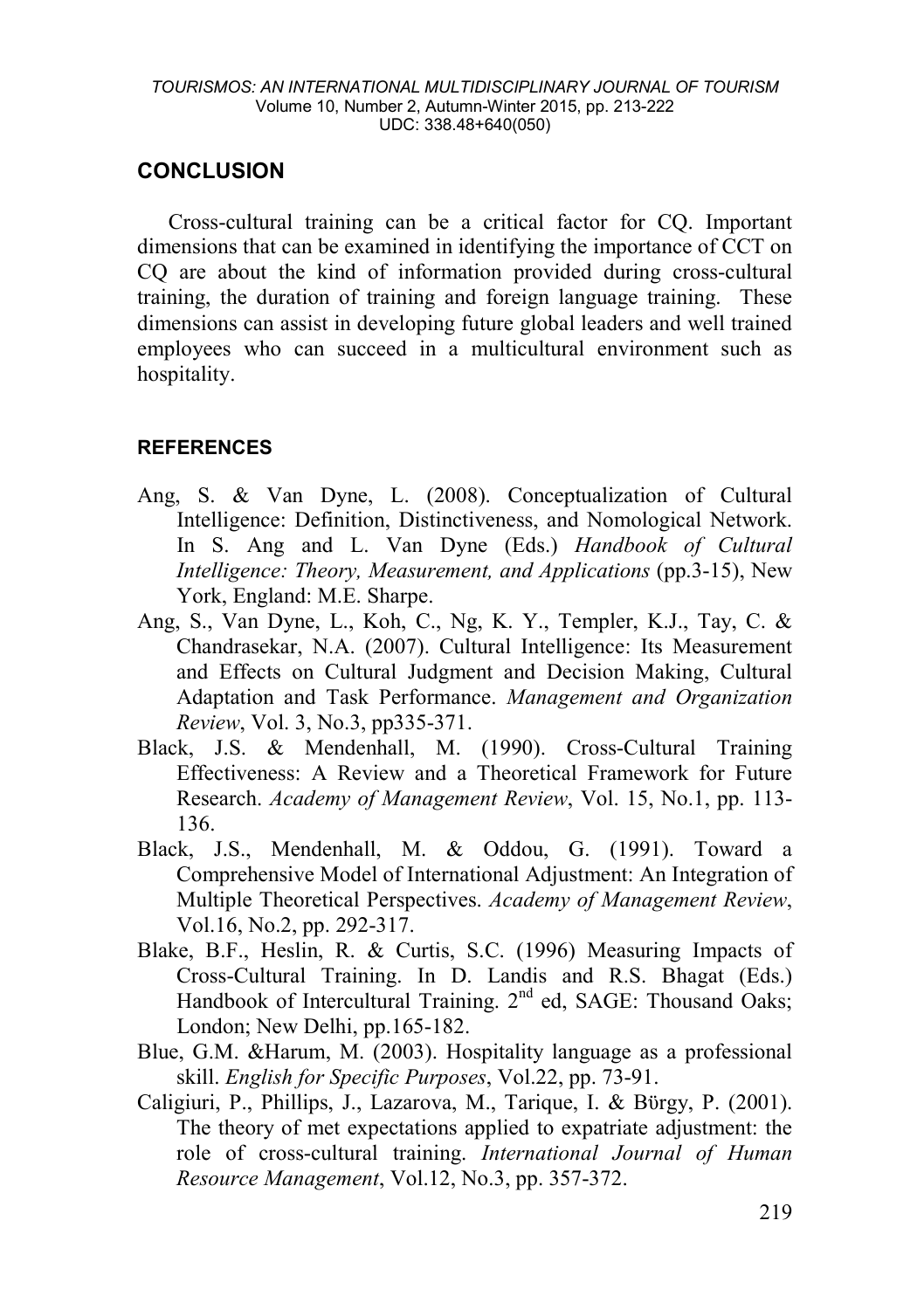## **CONCLUSION**

Cross-cultural training can be a critical factor for CQ. Important dimensions that can be examined in identifying the importance of CCT on CQ are about the kind of information provided during cross-cultural training, the duration of training and foreign language training. These dimensions can assist in developing future global leaders and well trained employees who can succeed in a multicultural environment such as hospitality.

### **REFERENCES**

- Ang, S. & Van Dyne, L. (2008). Conceptualization of Cultural Intelligence: Definition, Distinctiveness, and Nomological Network. In S. Ang and L. Van Dyne (Eds.) *Handbook of Cultural Intelligence: Theory, Measurement, and Applications* (pp.3-15), New York, England: M.E. Sharpe.
- Ang, S., Van Dyne, L., Koh, C., Ng, K. Y., Templer, K.J., Tay, C. & Chandrasekar, N.A. (2007). Cultural Intelligence: Its Measurement and Effects on Cultural Judgment and Decision Making, Cultural Adaptation and Task Performance. *Management and Organization Review*, Vol. 3, No.3, pp335-371.
- Black, J.S. & Mendenhall, M. (1990). Cross-Cultural Training Effectiveness: A Review and a Theoretical Framework for Future Research. *Academy of Management Review*, Vol. 15, No.1, pp. 113- 136.
- Black, J.S., Mendenhall, M. & Oddou, G. (1991). Toward a Comprehensive Model of International Adjustment: An Integration of Multiple Theoretical Perspectives. *Academy of Management Review*, Vol.16, No.2, pp. 292-317.
- Blake, B.F., Heslin, R. & Curtis, S.C. (1996) Measuring Impacts of Cross-Cultural Training. In D. Landis and R.S. Bhagat (Eds.) Handbook of Intercultural Training. 2<sup>nd</sup> ed, SAGE: Thousand Oaks; London; New Delhi, pp.165-182.
- Blue, G.M. &Harum, M. (2003). Hospitality language as a professional skill. *English for Specific Purposes*, Vol.22, pp. 73-91.
- Caligiuri, P., Phillips, J., Lazarova, M., Tarique, I. & Bϋrgy, P. (2001). The theory of met expectations applied to expatriate adjustment: the role of cross-cultural training. *International Journal of Human Resource Management*, Vol.12, No.3, pp. 357-372.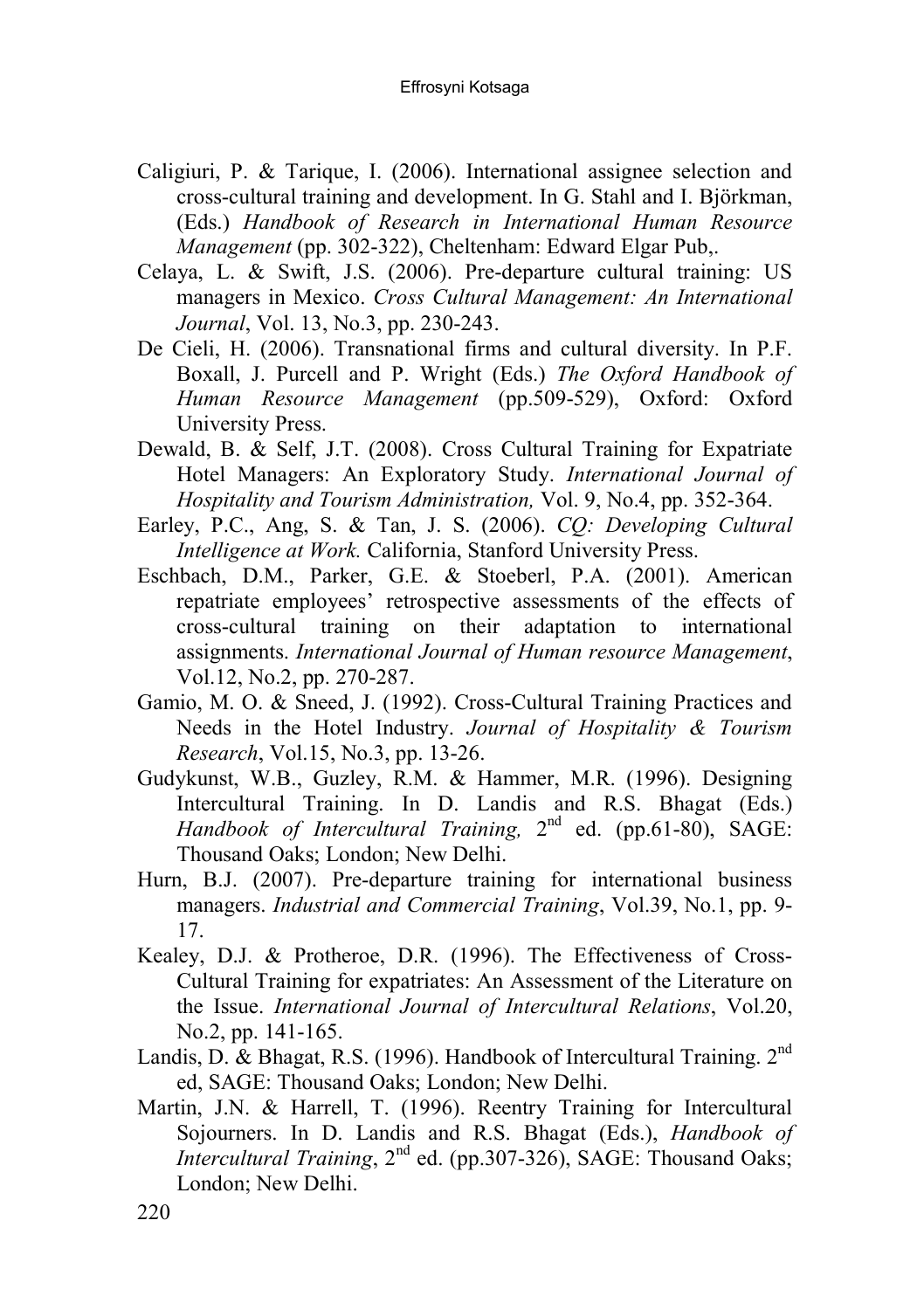- Caligiuri, P. & Tarique, I. (2006). International assignee selection and cross-cultural training and development. In G. Stahl and I. Björkman, (Eds.) *Handbook of Research in International Human Resource Management* (pp. 302-322), Cheltenham: Edward Elgar Pub,.
- Celaya, L. & Swift, J.S. (2006). Pre-departure cultural training: US managers in Mexico. *Cross Cultural Management: An International Journal*, Vol. 13, No.3, pp. 230-243.
- De Cieli, H. (2006). Transnational firms and cultural diversity. In P.F. Boxall, J. Purcell and P. Wright (Eds.) *The Oxford Handbook of Human Resource Management* (pp.509-529), Oxford: Oxford University Press.
- Dewald, B. & Self, J.T. (2008). Cross Cultural Training for Expatriate Hotel Managers: An Exploratory Study. *International Journal of Hospitality and Tourism Administration,* Vol. 9, No.4, pp. 352-364.
- Earley, P.C., Ang, S. & Tan, J. S. (2006). *CQ: Developing Cultural Intelligence at Work.* California, Stanford University Press.
- Eschbach, D.M., Parker, G.E. & Stoeberl, P.A. (2001). American repatriate employees' retrospective assessments of the effects of cross-cultural training on their adaptation to international assignments. *International Journal of Human resource Management*, Vol.12, No.2, pp. 270-287.
- Gamio, M. O. & Sneed, J. (1992). Cross-Cultural Training Practices and Needs in the Hotel Industry. *Journal of Hospitality & Tourism Research*, Vol.15, No.3, pp. 13-26.
- Gudykunst, W.B., Guzley, R.M. & Hammer, M.R. (1996). Designing Intercultural Training. In D. Landis and R.S. Bhagat (Eds.) *Handbook of Intercultural Training,*  $2^{nd}$  ed. (pp.61-80), SAGE: Thousand Oaks; London; New Delhi.
- Hurn, B.J. (2007). Pre-departure training for international business managers. *Industrial and Commercial Training*, Vol.39, No.1, pp. 9- 17.
- Kealey, D.J. & Protheroe, D.R. (1996). The Effectiveness of Cross-Cultural Training for expatriates: An Assessment of the Literature on the Issue. *International Journal of Intercultural Relations*, Vol.20, No.2, pp. 141-165.
- Landis, D. & Bhagat, R.S. (1996). Handbook of Intercultural Training. 2<sup>nd</sup> ed, SAGE: Thousand Oaks; London; New Delhi.
- Martin, J.N. & Harrell, T. (1996). Reentry Training for Intercultural Sojourners. In D. Landis and R.S. Bhagat (Eds.), *Handbook of Intercultural Training*, 2<sup>nd</sup> ed. (pp.307-326), SAGE: Thousand Oaks; London; New Delhi.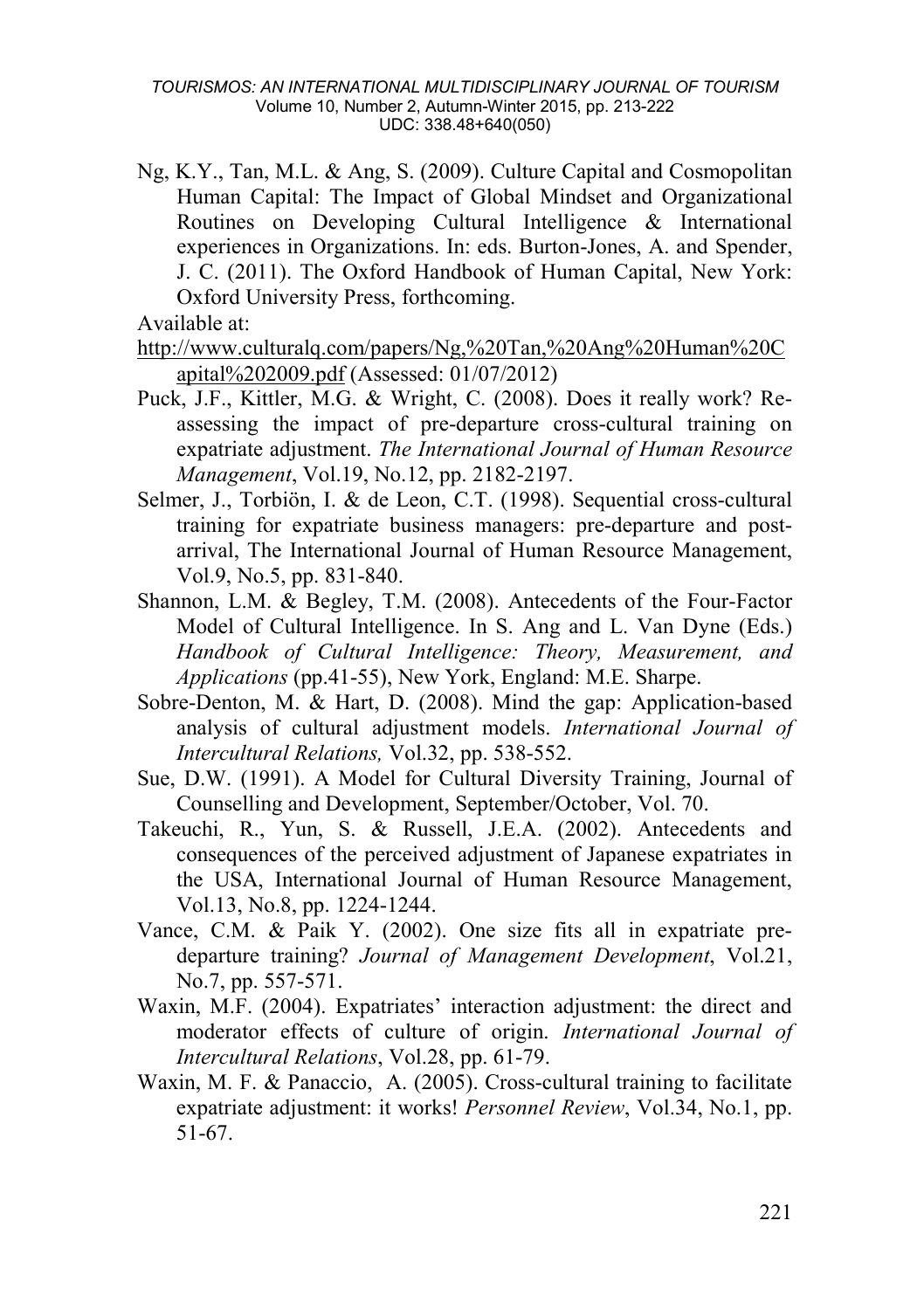Ng, K.Y., Tan, M.L. & Ang, S. (2009). Culture Capital and Cosmopolitan Human Capital: The Impact of Global Mindset and Organizational Routines on Developing Cultural Intelligence & International experiences in Organizations. In: eds. Burton-Jones, A. and Spender, J. C. (2011). The Oxford Handbook of Human Capital, New York: Oxford University Press, forthcoming.

Available at:

```
http://www.culturalq.com/papers/Ng,%20Tan,%20Ang%20Human%20C
apital%202009.pdf (Assessed: 01/07/2012)
```
- Puck, J.F., Kittler, M.G. & Wright, C. (2008). Does it really work? Reassessing the impact of pre-departure cross-cultural training on expatriate adjustment. *The International Journal of Human Resource Management*, Vol.19, No.12, pp. 2182-2197.
- Selmer, J., Torbiön, I. & de Leon, C.T. (1998). Sequential cross-cultural training for expatriate business managers: pre-departure and postarrival, The International Journal of Human Resource Management, Vol.9, No.5, pp. 831-840.
- Shannon, L.M. & Begley, T.M. (2008). Antecedents of the Four-Factor Model of Cultural Intelligence. In S. Ang and L. Van Dyne (Eds.) *Handbook of Cultural Intelligence: Theory, Measurement, and Applications* (pp.41-55), New York, England: M.E. Sharpe.
- Sobre-Denton, M. & Hart, D. (2008). Mind the gap: Application-based analysis of cultural adjustment models. *International Journal of Intercultural Relations,* Vol.32, pp. 538-552.
- Sue, D.W. (1991). A Model for Cultural Diversity Training, Journal of Counselling and Development, September/October, Vol. 70.
- Takeuchi, R., Yun, S. & Russell, J.E.A. (2002). Antecedents and consequences of the perceived adjustment of Japanese expatriates in the USA, International Journal of Human Resource Management, Vol.13, No.8, pp. 1224-1244.
- Vance, C.M. & Paik Y. (2002). One size fits all in expatriate predeparture training? *Journal of Management Development*, Vol.21, No.7, pp. 557-571.
- Waxin, M.F. (2004). Expatriates' interaction adjustment: the direct and moderator effects of culture of origin. *International Journal of Intercultural Relations*, Vol.28, pp. 61-79.
- Waxin, M. F. & Panaccio, A. (2005). Cross-cultural training to facilitate expatriate adjustment: it works! *Personnel Review*, Vol.34, No.1, pp. 51-67.